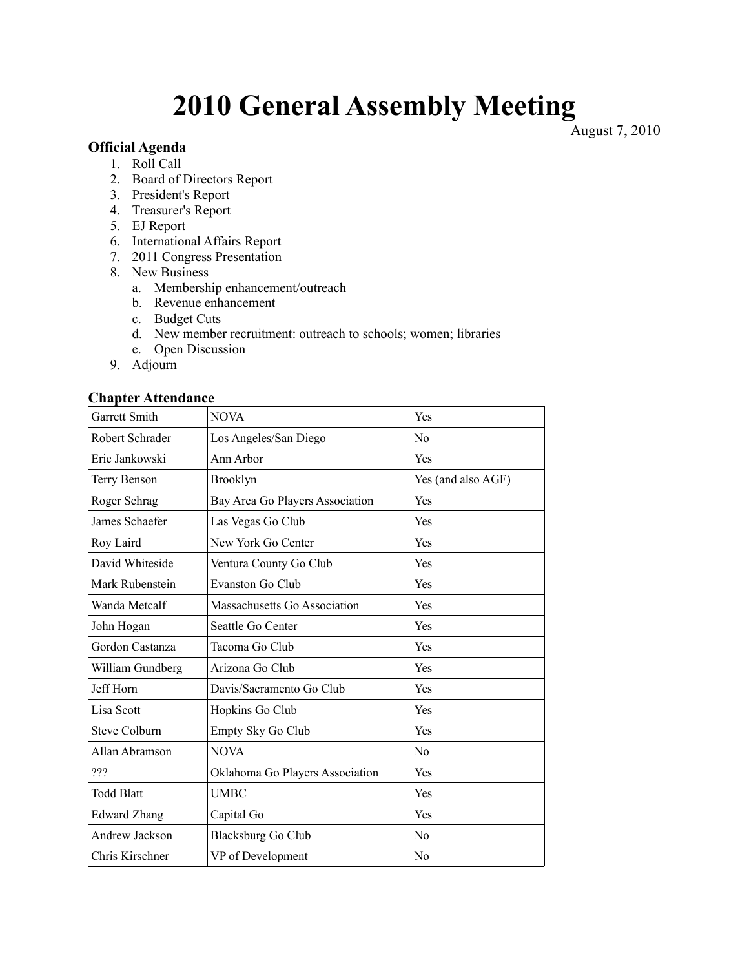# **2010 General Assembly Meeting** August 7, 2010

#### **Official Agenda**

- 1. Roll Call
- 2. Board of Directors Report
- 3. President's Report
- 4. Treasurer's Report
- 5. EJ Report
- 6. International Affairs Report
- 7. 2011 Congress Presentation
- 8. New Business
	- a. Membership enhancement/outreach
	- b. Revenue enhancement
	- c. Budget Cuts
	- d. New member recruitment: outreach to schools; women; libraries
	- e. Open Discussion
- 9. Adjourn

### **Chapter Attendance**

| Garrett Smith        | <b>NOVA</b>                     | Yes                |
|----------------------|---------------------------------|--------------------|
| Robert Schrader      | Los Angeles/San Diego           | No                 |
| Eric Jankowski       | Ann Arbor                       | Yes                |
| Terry Benson         | Brooklyn                        | Yes (and also AGF) |
| Roger Schrag         | Bay Area Go Players Association | Yes                |
| James Schaefer       | Las Vegas Go Club               | Yes                |
| Roy Laird            | New York Go Center              | Yes                |
| David Whiteside      | Ventura County Go Club          | Yes                |
| Mark Rubenstein      | Evanston Go Club                | Yes                |
| Wanda Metcalf        | Massachusetts Go Association    | Yes                |
| John Hogan           | Seattle Go Center               | Yes                |
| Gordon Castanza      | Tacoma Go Club                  | Yes                |
| William Gundberg     | Arizona Go Club                 | <b>Yes</b>         |
| Jeff Horn            | Davis/Sacramento Go Club        | Yes                |
| Lisa Scott           | Hopkins Go Club                 | Yes                |
| <b>Steve Colburn</b> | Empty Sky Go Club               | Yes                |
| Allan Abramson       | <b>NOVA</b>                     | N <sub>0</sub>     |
| ???                  | Oklahoma Go Players Association | Yes                |
| <b>Todd Blatt</b>    | <b>UMBC</b>                     | Yes                |
| <b>Edward Zhang</b>  | Capital Go                      | Yes                |
| Andrew Jackson       | <b>Blacksburg Go Club</b>       | No                 |
| Chris Kirschner      | VP of Development               | N <sub>o</sub>     |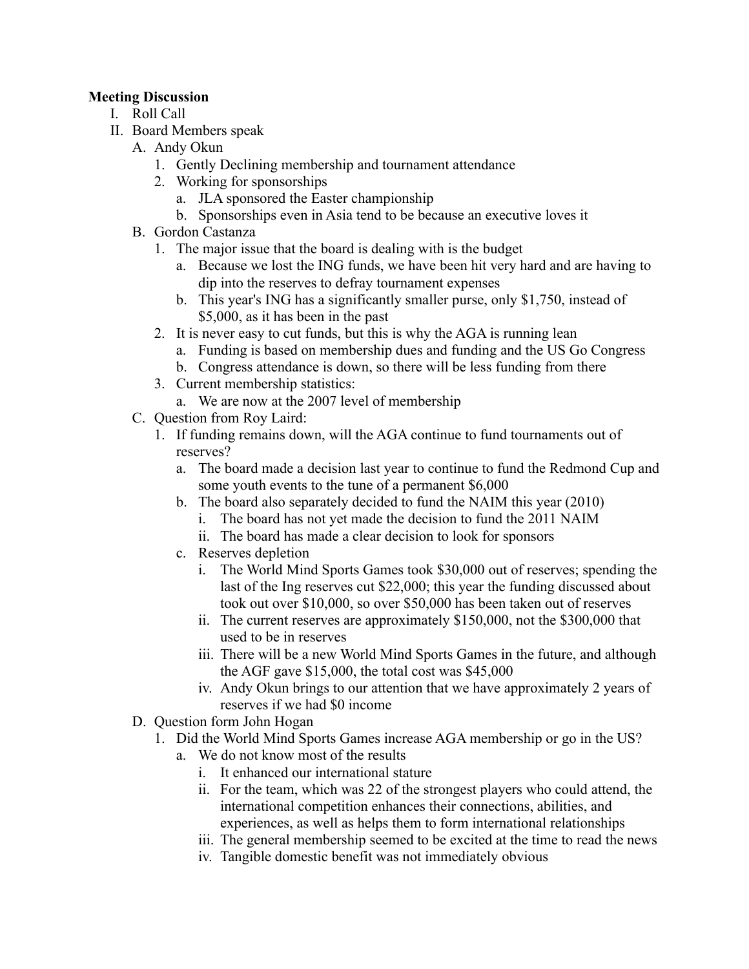## **Meeting Discussion**

- I. Roll Call
- II. Board Members speak
	- A. Andy Okun
		- 1. Gently Declining membership and tournament attendance
		- 2. Working for sponsorships
			- a. JLA sponsored the Easter championship
			- b. Sponsorships even in Asia tend to be because an executive loves it
	- B. Gordon Castanza
		- 1. The major issue that the board is dealing with is the budget
			- a. Because we lost the ING funds, we have been hit very hard and are having to dip into the reserves to defray tournament expenses
			- b. This year's ING has a significantly smaller purse, only \$1,750, instead of \$5,000, as it has been in the past
		- 2. It is never easy to cut funds, but this is why the AGA is running lean
			- a. Funding is based on membership dues and funding and the US Go Congress
			- b. Congress attendance is down, so there will be less funding from there
		- 3. Current membership statistics:
		- a. We are now at the 2007 level of membership
	- C. Question from Roy Laird:
		- 1. If funding remains down, will the AGA continue to fund tournaments out of reserves?
			- a. The board made a decision last year to continue to fund the Redmond Cup and some youth events to the tune of a permanent \$6,000
			- b. The board also separately decided to fund the NAIM this year (2010)
				- i. The board has not yet made the decision to fund the 2011 NAIM
				- ii. The board has made a clear decision to look for sponsors
			- c. Reserves depletion
				- i. The World Mind Sports Games took \$30,000 out of reserves; spending the last of the Ing reserves cut \$22,000; this year the funding discussed about took out over \$10,000, so over \$50,000 has been taken out of reserves
				- ii. The current reserves are approximately \$150,000, not the \$300,000 that used to be in reserves
				- iii. There will be a new World Mind Sports Games in the future, and although the AGF gave \$15,000, the total cost was \$45,000
				- iv. Andy Okun brings to our attention that we have approximately 2 years of reserves if we had \$0 income
	- D. Question form John Hogan
		- 1. Did the World Mind Sports Games increase AGA membership or go in the US?
			- a. We do not know most of the results
				- i. It enhanced our international stature
				- ii. For the team, which was 22 of the strongest players who could attend, the international competition enhances their connections, abilities, and experiences, as well as helps them to form international relationships
				- iii. The general membership seemed to be excited at the time to read the news
				- iv. Tangible domestic benefit was not immediately obvious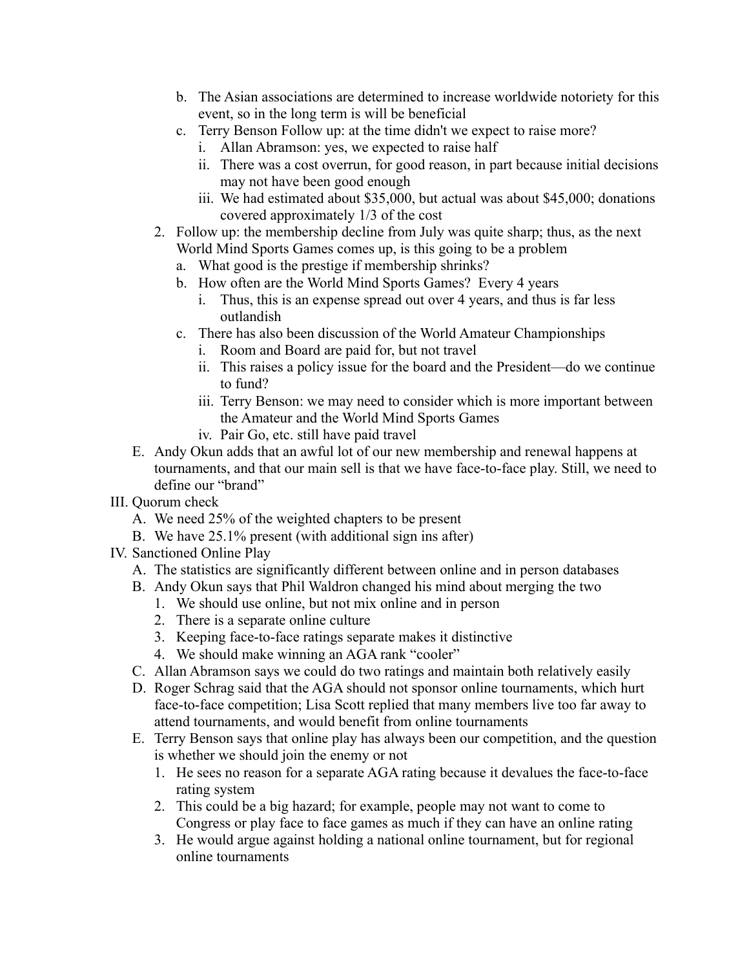- b. The Asian associations are determined to increase worldwide notoriety for this event, so in the long term is will be beneficial
- c. Terry Benson Follow up: at the time didn't we expect to raise more?
	- i. Allan Abramson: yes, we expected to raise half
	- ii. There was a cost overrun, for good reason, in part because initial decisions may not have been good enough
	- iii. We had estimated about \$35,000, but actual was about \$45,000; donations covered approximately 1/3 of the cost
- 2. Follow up: the membership decline from July was quite sharp; thus, as the next World Mind Sports Games comes up, is this going to be a problem
	- a. What good is the prestige if membership shrinks?
	- b. How often are the World Mind Sports Games? Every 4 years
		- i. Thus, this is an expense spread out over 4 years, and thus is far less outlandish
	- c. There has also been discussion of the World Amateur Championships
		- i. Room and Board are paid for, but not travel
		- ii. This raises a policy issue for the board and the President—do we continue to fund?
		- iii. Terry Benson: we may need to consider which is more important between the Amateur and the World Mind Sports Games
		- iv. Pair Go, etc. still have paid travel
- E. Andy Okun adds that an awful lot of our new membership and renewal happens at tournaments, and that our main sell is that we have face-to-face play. Still, we need to define our "brand"

## III. Quorum check

- A. We need 25% of the weighted chapters to be present
- B. We have 25.1% present (with additional sign ins after)
- IV. Sanctioned Online Play
	- A. The statistics are significantly different between online and in person databases
	- B. Andy Okun says that Phil Waldron changed his mind about merging the two
		- 1. We should use online, but not mix online and in person
		- 2. There is a separate online culture
		- 3. Keeping face-to-face ratings separate makes it distinctive
		- 4. We should make winning an AGA rank "cooler"
	- C. Allan Abramson says we could do two ratings and maintain both relatively easily
	- D. Roger Schrag said that the AGA should not sponsor online tournaments, which hurt face-to-face competition; Lisa Scott replied that many members live too far away to attend tournaments, and would benefit from online tournaments
	- E. Terry Benson says that online play has always been our competition, and the question is whether we should join the enemy or not
		- 1. He sees no reason for a separate AGA rating because it devalues the face-to-face rating system
		- 2. This could be a big hazard; for example, people may not want to come to Congress or play face to face games as much if they can have an online rating
		- 3. He would argue against holding a national online tournament, but for regional online tournaments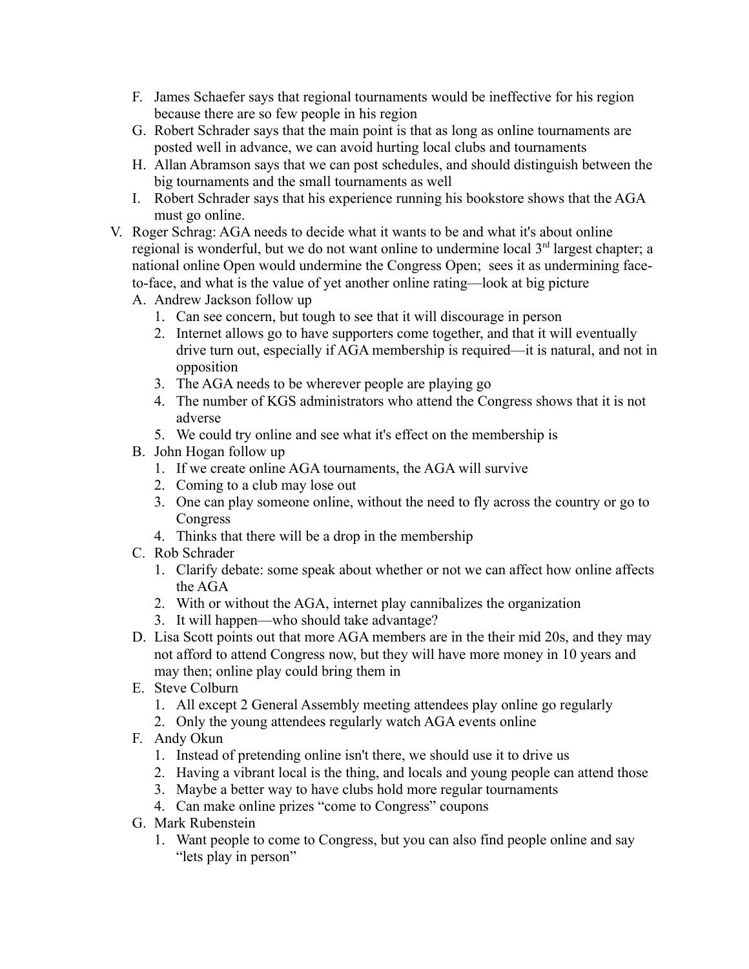- F. James Schaefer says that regional tournaments would be ineffective for his region because there are so few people in his region
- G. Robert Schrader says that the main point is that as long as online tournaments are posted well in advance, we can avoid hurting local clubs and tournaments
- H. Allan Abramson says that we can post schedules, and should distinguish between the big tournaments and the small tournaments as well
- I. Robert Schrader says that his experience running his bookstore shows that the AGA must go online.
- V. Roger Schrag: AGA needs to decide what it wants to be and what it's about online regional is wonderful, but we do not want online to undermine local 3<sup>rd</sup> largest chapter; a national online Open would undermine the Congress Open; sees it as undermining faceto-face, and what is the value of yet another online rating—look at big picture
	- A. Andrew Jackson follow up
		- 1. Can see concern, but tough to see that it will discourage in person
		- 2. Internet allows go to have supporters come together, and that it will eventually drive turn out, especially if AGA membership is required—it is natural, and not in opposition
		- 3. The AGA needs to be wherever people are playing go
		- 4. The number of KGS administrators who attend the Congress shows that it is not adverse
		- 5. We could try online and see what it's effect on the membership is
	- B. John Hogan follow up
		- 1. If we create online AGA tournaments, the AGA will survive
		- 2. Coming to a club may lose out
		- 3. One can play someone online, without the need to fly across the country or go to Congress
		- 4. Thinks that there will be a drop in the membership
	- C. Rob Schrader
		- 1. Clarify debate: some speak about whether or not we can affect how online affects the AGA
		- 2. With or without the AGA, internet play cannibalizes the organization
		- 3. It will happen—who should take advantage?
	- D. Lisa Scott points out that more AGA members are in the their mid 20s, and they may not afford to attend Congress now, but they will have more money in 10 years and may then; online play could bring them in
	- E. Steve Colburn
		- 1. All except 2 General Assembly meeting attendees play online go regularly
		- 2. Only the young attendees regularly watch AGA events online
	- F. Andy Okun
		- 1. Instead of pretending online isn't there, we should use it to drive us
		- 2. Having a vibrant local is the thing, and locals and young people can attend those
		- 3. Maybe a better way to have clubs hold more regular tournaments
		- 4. Can make online prizes "come to Congress" coupons
	- G. Mark Rubenstein
		- 1. Want people to come to Congress, but you can also find people online and say "lets play in person"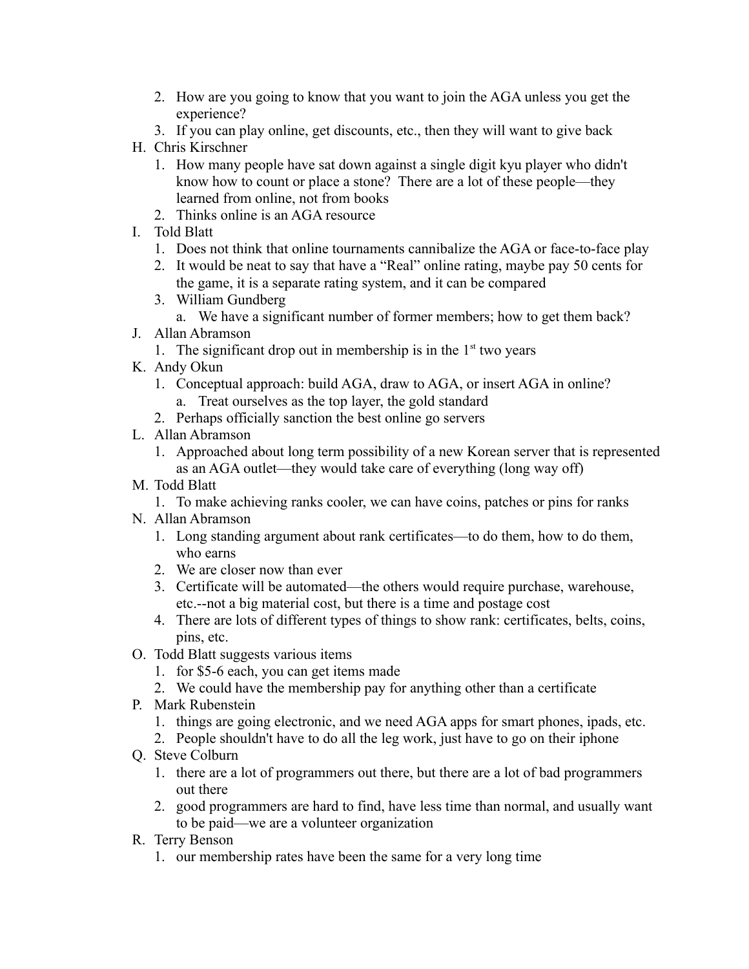- 2. How are you going to know that you want to join the AGA unless you get the experience?
- 3. If you can play online, get discounts, etc., then they will want to give back
- H. Chris Kirschner
	- 1. How many people have sat down against a single digit kyu player who didn't know how to count or place a stone? There are a lot of these people—they learned from online, not from books
	- 2. Thinks online is an AGA resource
- I. Told Blatt
	- 1. Does not think that online tournaments cannibalize the AGA or face-to-face play
	- 2. It would be neat to say that have a "Real" online rating, maybe pay 50 cents for the game, it is a separate rating system, and it can be compared
	- 3. William Gundberg
		- a. We have a significant number of former members; how to get them back?
- J. Allan Abramson
	- 1. The significant drop out in membership is in the  $1<sup>st</sup>$  two years
- K. Andy Okun
	- 1. Conceptual approach: build AGA, draw to AGA, or insert AGA in online? a. Treat ourselves as the top layer, the gold standard
	- 2. Perhaps officially sanction the best online go servers
- L. Allan Abramson
	- 1. Approached about long term possibility of a new Korean server that is represented as an AGA outlet—they would take care of everything (long way off)
- M. Todd Blatt
	- 1. To make achieving ranks cooler, we can have coins, patches or pins for ranks
- N. Allan Abramson
	- 1. Long standing argument about rank certificates—to do them, how to do them, who earns
	- 2. We are closer now than ever
	- 3. Certificate will be automated—the others would require purchase, warehouse, etc.--not a big material cost, but there is a time and postage cost
	- 4. There are lots of different types of things to show rank: certificates, belts, coins, pins, etc.
- O. Todd Blatt suggests various items
	- 1. for \$5-6 each, you can get items made
	- 2. We could have the membership pay for anything other than a certificate
- P. Mark Rubenstein
	- 1. things are going electronic, and we need AGA apps for smart phones, ipads, etc.
	- 2. People shouldn't have to do all the leg work, just have to go on their iphone
- Q. Steve Colburn
	- 1. there are a lot of programmers out there, but there are a lot of bad programmers out there
	- 2. good programmers are hard to find, have less time than normal, and usually want to be paid—we are a volunteer organization
- R. Terry Benson
	- 1. our membership rates have been the same for a very long time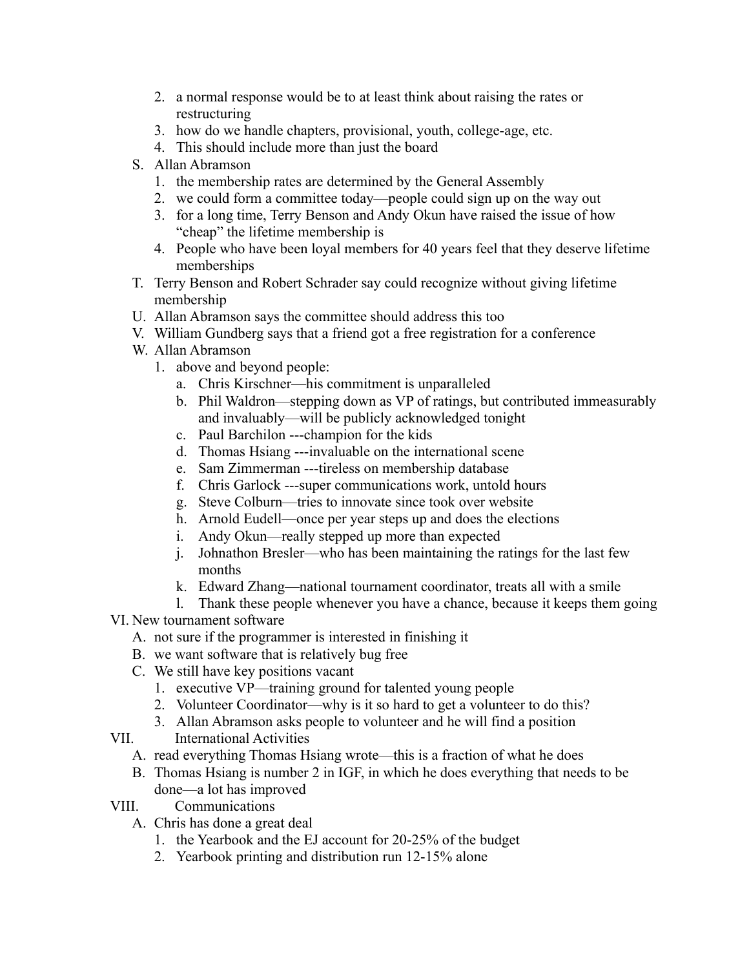- 2. a normal response would be to at least think about raising the rates or restructuring
- 3. how do we handle chapters, provisional, youth, college-age, etc.
- 4. This should include more than just the board
- S. Allan Abramson
	- 1. the membership rates are determined by the General Assembly
	- 2. we could form a committee today—people could sign up on the way out
	- 3. for a long time, Terry Benson and Andy Okun have raised the issue of how "cheap" the lifetime membership is
	- 4. People who have been loyal members for 40 years feel that they deserve lifetime memberships
- T. Terry Benson and Robert Schrader say could recognize without giving lifetime membership
- U. Allan Abramson says the committee should address this too
- V. William Gundberg says that a friend got a free registration for a conference
- W. Allan Abramson
	- 1. above and beyond people:
		- a. Chris Kirschner—his commitment is unparalleled
		- b. Phil Waldron—stepping down as VP of ratings, but contributed immeasurably and invaluably—will be publicly acknowledged tonight
		- c. Paul Barchilon ---champion for the kids
		- d. Thomas Hsiang ---invaluable on the international scene
		- e. Sam Zimmerman ---tireless on membership database
		- f. Chris Garlock ---super communications work, untold hours
		- g. Steve Colburn—tries to innovate since took over website
		- h. Arnold Eudell—once per year steps up and does the elections
		- i. Andy Okun—really stepped up more than expected
		- j. Johnathon Bresler—who has been maintaining the ratings for the last few months
		- k. Edward Zhang—national tournament coordinator, treats all with a smile
	- l. Thank these people whenever you have a chance, because it keeps them going
- VI. New tournament software
	- A. not sure if the programmer is interested in finishing it
	- B. we want software that is relatively bug free
	- C. We still have key positions vacant
		- 1. executive VP—training ground for talented young people
		- 2. Volunteer Coordinator—why is it so hard to get a volunteer to do this?
		- 3. Allan Abramson asks people to volunteer and he will find a position
- VII. International Activities
	- A. read everything Thomas Hsiang wrote—this is a fraction of what he does
	- B. Thomas Hsiang is number 2 in IGF, in which he does everything that needs to be done—a lot has improved
- VIII. Communications
	- A. Chris has done a great deal
		- 1. the Yearbook and the EJ account for 20-25% of the budget
		- 2. Yearbook printing and distribution run 12-15% alone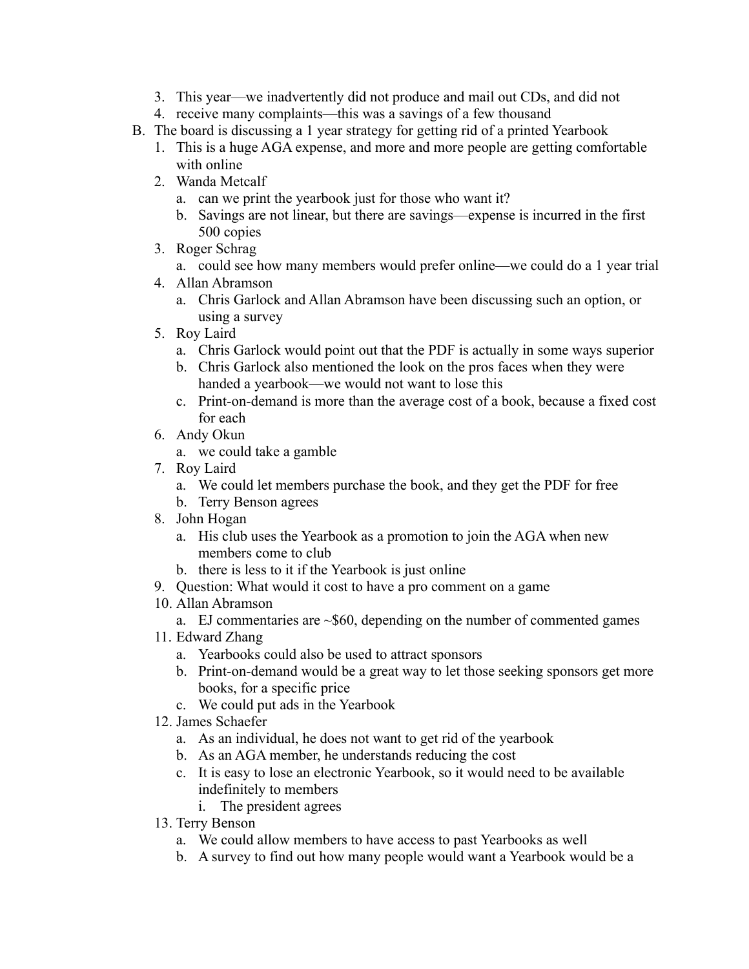- 3. This year—we inadvertently did not produce and mail out CDs, and did not
- 4. receive many complaints—this was a savings of a few thousand
- B. The board is discussing a 1 year strategy for getting rid of a printed Yearbook
	- 1. This is a huge AGA expense, and more and more people are getting comfortable with online
	- 2. Wanda Metcalf
		- a. can we print the yearbook just for those who want it?
		- b. Savings are not linear, but there are savings—expense is incurred in the first 500 copies
	- 3. Roger Schrag
		- a. could see how many members would prefer online—we could do a 1 year trial
	- 4. Allan Abramson
		- a. Chris Garlock and Allan Abramson have been discussing such an option, or using a survey
	- 5. Roy Laird
		- a. Chris Garlock would point out that the PDF is actually in some ways superior
		- b. Chris Garlock also mentioned the look on the pros faces when they were handed a yearbook—we would not want to lose this
		- c. Print-on-demand is more than the average cost of a book, because a fixed cost for each
	- 6. Andy Okun
		- a. we could take a gamble
	- 7. Roy Laird
		- a. We could let members purchase the book, and they get the PDF for free
		- b. Terry Benson agrees
	- 8. John Hogan
		- a. His club uses the Yearbook as a promotion to join the AGA when new members come to club
		- b. there is less to it if the Yearbook is just online
	- 9. Question: What would it cost to have a pro comment on a game
	- 10. Allan Abramson
		- a. EJ commentaries are  $\sim$  \$60, depending on the number of commented games
	- 11. Edward Zhang
		- a. Yearbooks could also be used to attract sponsors
		- b. Print-on-demand would be a great way to let those seeking sponsors get more books, for a specific price
		- c. We could put ads in the Yearbook
	- 12. James Schaefer
		- a. As an individual, he does not want to get rid of the yearbook
		- b. As an AGA member, he understands reducing the cost
		- c. It is easy to lose an electronic Yearbook, so it would need to be available indefinitely to members
			- i. The president agrees
	- 13. Terry Benson
		- a. We could allow members to have access to past Yearbooks as well
		- b. A survey to find out how many people would want a Yearbook would be a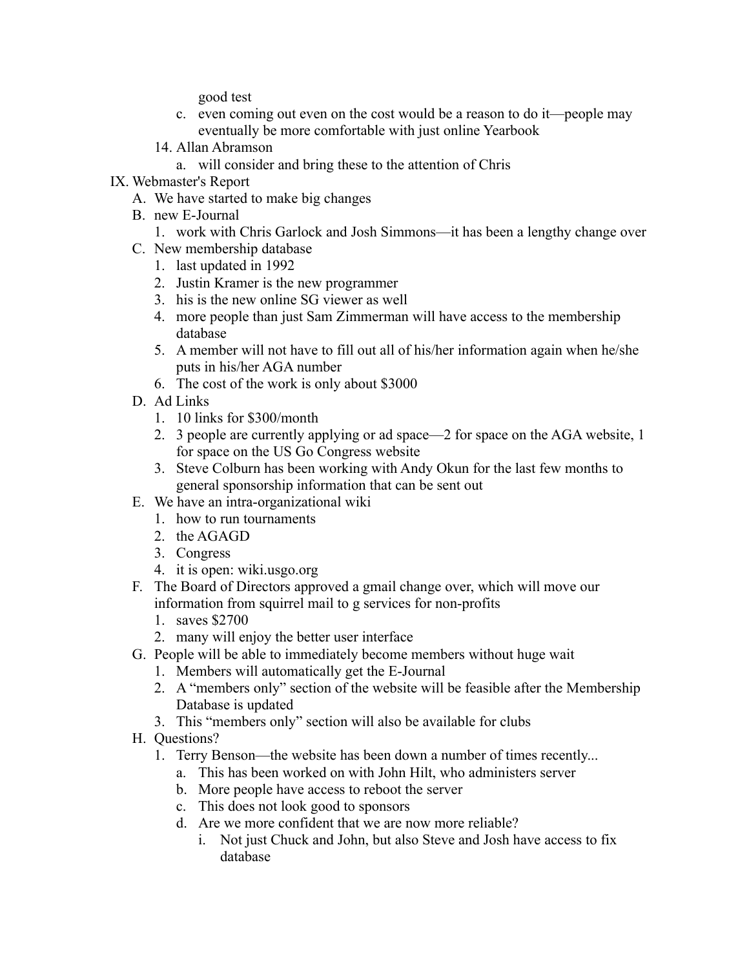good test

- c. even coming out even on the cost would be a reason to do it—people may eventually be more comfortable with just online Yearbook
- 14. Allan Abramson
	- a. will consider and bring these to the attention of Chris
- IX. Webmaster's Report
	- A. We have started to make big changes
	- B. new E-Journal
		- 1. work with Chris Garlock and Josh Simmons—it has been a lengthy change over
	- C. New membership database
		- 1. last updated in 1992
		- 2. Justin Kramer is the new programmer
		- 3. his is the new online SG viewer as well
		- 4. more people than just Sam Zimmerman will have access to the membership database
		- 5. A member will not have to fill out all of his/her information again when he/she puts in his/her AGA number
		- 6. The cost of the work is only about \$3000
	- D. Ad Links
		- 1. 10 links for \$300/month
		- 2. 3 people are currently applying or ad space—2 for space on the AGA website, 1 for space on the US Go Congress website
		- 3. Steve Colburn has been working with Andy Okun for the last few months to general sponsorship information that can be sent out
	- E. We have an intra-organizational wiki
		- 1. how to run tournaments
		- 2. the AGAGD
		- 3. Congress
		- 4. it is open: wiki.usgo.org
	- F. The Board of Directors approved a gmail change over, which will move our information from squirrel mail to g services for non-profits
		- 1. saves \$2700
		- 2. many will enjoy the better user interface
	- G. People will be able to immediately become members without huge wait
		- 1. Members will automatically get the E-Journal
		- 2. A "members only" section of the website will be feasible after the Membership Database is updated
		- 3. This "members only" section will also be available for clubs
	- H. Questions?
		- 1. Terry Benson—the website has been down a number of times recently...
			- a. This has been worked on with John Hilt, who administers server
			- b. More people have access to reboot the server
			- c. This does not look good to sponsors
			- d. Are we more confident that we are now more reliable?
				- i. Not just Chuck and John, but also Steve and Josh have access to fix database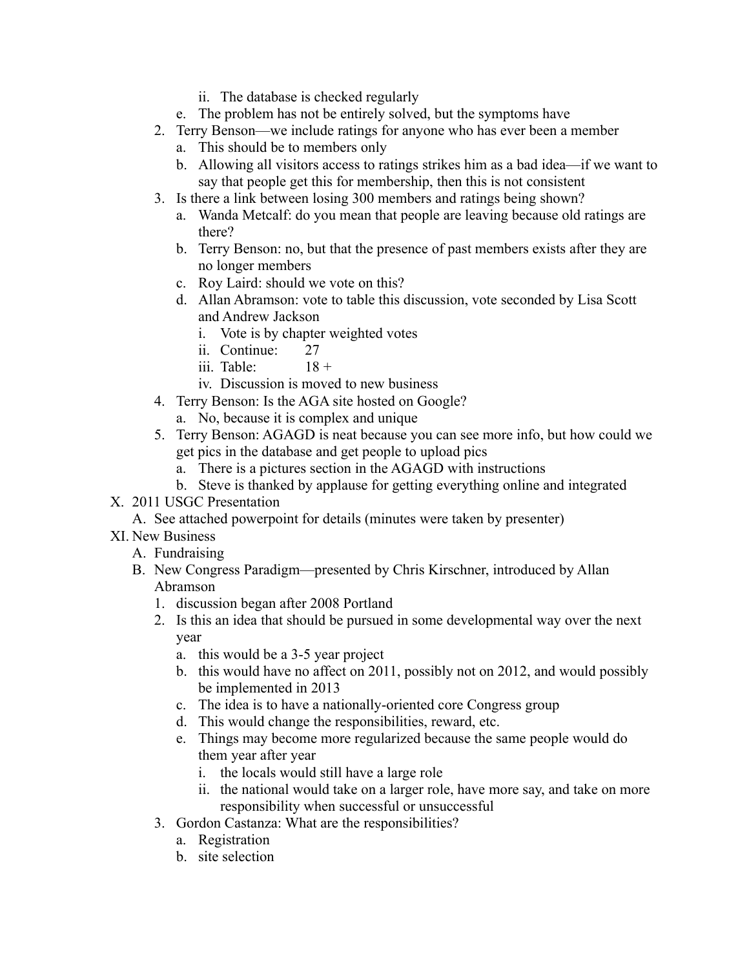- ii. The database is checked regularly
- e. The problem has not be entirely solved, but the symptoms have
- 2. Terry Benson—we include ratings for anyone who has ever been a member
	- a. This should be to members only
	- b. Allowing all visitors access to ratings strikes him as a bad idea—if we want to say that people get this for membership, then this is not consistent
- 3. Is there a link between losing 300 members and ratings being shown?
	- a. Wanda Metcalf: do you mean that people are leaving because old ratings are there?
	- b. Terry Benson: no, but that the presence of past members exists after they are no longer members
	- c. Roy Laird: should we vote on this?
	- d. Allan Abramson: vote to table this discussion, vote seconded by Lisa Scott and Andrew Jackson
		- i. Vote is by chapter weighted votes
		- ii. Continue: 27
		- iii. Table:  $18 +$
		- iv. Discussion is moved to new business
- 4. Terry Benson: Is the AGA site hosted on Google?
	- a. No, because it is complex and unique
- 5. Terry Benson: AGAGD is neat because you can see more info, but how could we get pics in the database and get people to upload pics
	- a. There is a pictures section in the AGAGD with instructions
	- b. Steve is thanked by applause for getting everything online and integrated
- X. 2011 USGC Presentation
	- A. See attached powerpoint for details (minutes were taken by presenter)
- XI. New Business
	- A. Fundraising
	- B. New Congress Paradigm—presented by Chris Kirschner, introduced by Allan Abramson
		- 1. discussion began after 2008 Portland
		- 2. Is this an idea that should be pursued in some developmental way over the next year
			- a. this would be a 3-5 year project
			- b. this would have no affect on 2011, possibly not on 2012, and would possibly be implemented in 2013
			- c. The idea is to have a nationally-oriented core Congress group
			- d. This would change the responsibilities, reward, etc.
			- e. Things may become more regularized because the same people would do them year after year
				- i. the locals would still have a large role
				- ii. the national would take on a larger role, have more say, and take on more responsibility when successful or unsuccessful
		- 3. Gordon Castanza: What are the responsibilities?
			- a. Registration
			- b. site selection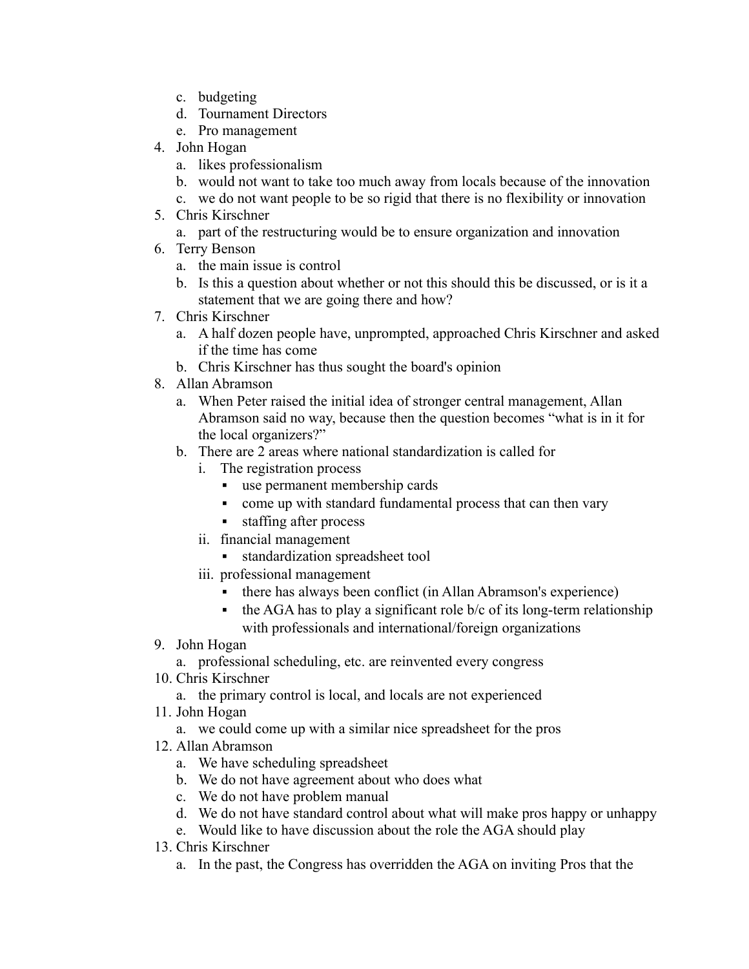- c. budgeting
- d. Tournament Directors
- e. Pro management
- 4. John Hogan
	- a. likes professionalism
	- b. would not want to take too much away from locals because of the innovation
	- c. we do not want people to be so rigid that there is no flexibility or innovation
- 5. Chris Kirschner
	- a. part of the restructuring would be to ensure organization and innovation
- 6. Terry Benson
	- a. the main issue is control
	- b. Is this a question about whether or not this should this be discussed, or is it a statement that we are going there and how?
- 7. Chris Kirschner
	- a. A half dozen people have, unprompted, approached Chris Kirschner and asked if the time has come
	- b. Chris Kirschner has thus sought the board's opinion
- 8. Allan Abramson
	- a. When Peter raised the initial idea of stronger central management, Allan Abramson said no way, because then the question becomes "what is in it for the local organizers?"
	- b. There are 2 areas where national standardization is called for
		- i. The registration process
			- use permanent membership cards
			- come up with standard fundamental process that can then vary
			- staffing after process
		- ii. financial management
			- standardization spreadsheet tool
		- iii. professional management
			- there has always been conflict (in Allan Abramson's experience)
			- $\bullet$  the AGA has to play a significant role b/c of its long-term relationship with professionals and international/foreign organizations
- 9. John Hogan
	- a. professional scheduling, etc. are reinvented every congress
- 10. Chris Kirschner
	- a. the primary control is local, and locals are not experienced
- 11. John Hogan
	- a. we could come up with a similar nice spreadsheet for the pros
- 12. Allan Abramson
	- a. We have scheduling spreadsheet
	- b. We do not have agreement about who does what
	- c. We do not have problem manual
	- d. We do not have standard control about what will make pros happy or unhappy
	- e. Would like to have discussion about the role the AGA should play
- 13. Chris Kirschner
	- a. In the past, the Congress has overridden the AGA on inviting Pros that the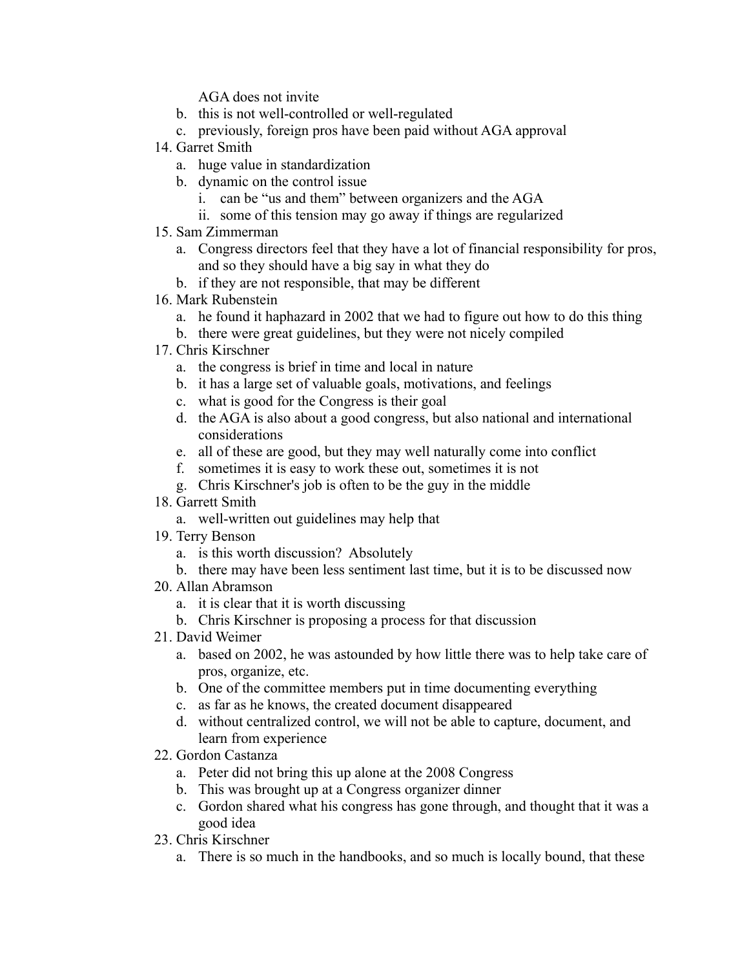AGA does not invite

- b. this is not well-controlled or well-regulated
- c. previously, foreign pros have been paid without AGA approval
- 14. Garret Smith
	- a. huge value in standardization
	- b. dynamic on the control issue
		- i. can be "us and them" between organizers and the AGA
		- ii. some of this tension may go away if things are regularized
- 15. Sam Zimmerman
	- a. Congress directors feel that they have a lot of financial responsibility for pros, and so they should have a big say in what they do
	- b. if they are not responsible, that may be different
- 16. Mark Rubenstein
	- a. he found it haphazard in 2002 that we had to figure out how to do this thing
	- b. there were great guidelines, but they were not nicely compiled
- 17. Chris Kirschner
	- a. the congress is brief in time and local in nature
	- b. it has a large set of valuable goals, motivations, and feelings
	- c. what is good for the Congress is their goal
	- d. the AGA is also about a good congress, but also national and international considerations
	- e. all of these are good, but they may well naturally come into conflict
	- f. sometimes it is easy to work these out, sometimes it is not
	- g. Chris Kirschner's job is often to be the guy in the middle
- 18. Garrett Smith
	- a. well-written out guidelines may help that
- 19. Terry Benson
	- a. is this worth discussion? Absolutely
	- b. there may have been less sentiment last time, but it is to be discussed now
- 20. Allan Abramson
	- a. it is clear that it is worth discussing
	- b. Chris Kirschner is proposing a process for that discussion
- 21. David Weimer
	- a. based on 2002, he was astounded by how little there was to help take care of pros, organize, etc.
	- b. One of the committee members put in time documenting everything
	- c. as far as he knows, the created document disappeared
	- d. without centralized control, we will not be able to capture, document, and learn from experience
- 22. Gordon Castanza
	- a. Peter did not bring this up alone at the 2008 Congress
	- b. This was brought up at a Congress organizer dinner
	- c. Gordon shared what his congress has gone through, and thought that it was a good idea
- 23. Chris Kirschner
	- a. There is so much in the handbooks, and so much is locally bound, that these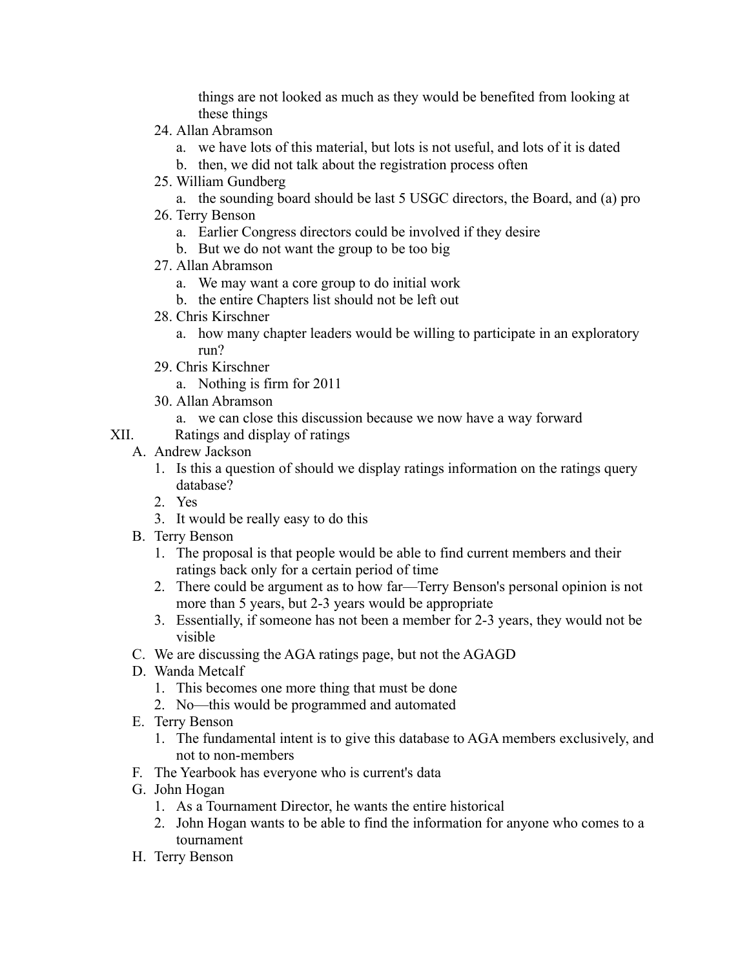things are not looked as much as they would be benefited from looking at these things

- 24. Allan Abramson
	- a. we have lots of this material, but lots is not useful, and lots of it is dated
	- b. then, we did not talk about the registration process often
- 25. William Gundberg

a. the sounding board should be last 5 USGC directors, the Board, and (a) pro

- 26. Terry Benson
	- a. Earlier Congress directors could be involved if they desire
	- b. But we do not want the group to be too big
- 27. Allan Abramson
	- a. We may want a core group to do initial work
	- b. the entire Chapters list should not be left out
- 28. Chris Kirschner
	- a. how many chapter leaders would be willing to participate in an exploratory run?
- 29. Chris Kirschner

a. Nothing is firm for 2011

- 30. Allan Abramson
	- a. we can close this discussion because we now have a way forward
- XII. Ratings and display of ratings
	- A. Andrew Jackson
		- 1. Is this a question of should we display ratings information on the ratings query database?
		- 2. Yes
		- 3. It would be really easy to do this
	- B. Terry Benson
		- 1. The proposal is that people would be able to find current members and their ratings back only for a certain period of time
		- 2. There could be argument as to how far—Terry Benson's personal opinion is not more than 5 years, but 2-3 years would be appropriate
		- 3. Essentially, if someone has not been a member for 2-3 years, they would not be visible
	- C. We are discussing the AGA ratings page, but not the AGAGD
	- D. Wanda Metcalf
		- 1. This becomes one more thing that must be done
		- 2. No—this would be programmed and automated
	- E. Terry Benson
		- 1. The fundamental intent is to give this database to AGA members exclusively, and not to non-members
	- F. The Yearbook has everyone who is current's data
	- G. John Hogan
		- 1. As a Tournament Director, he wants the entire historical
		- 2. John Hogan wants to be able to find the information for anyone who comes to a tournament
	- H. Terry Benson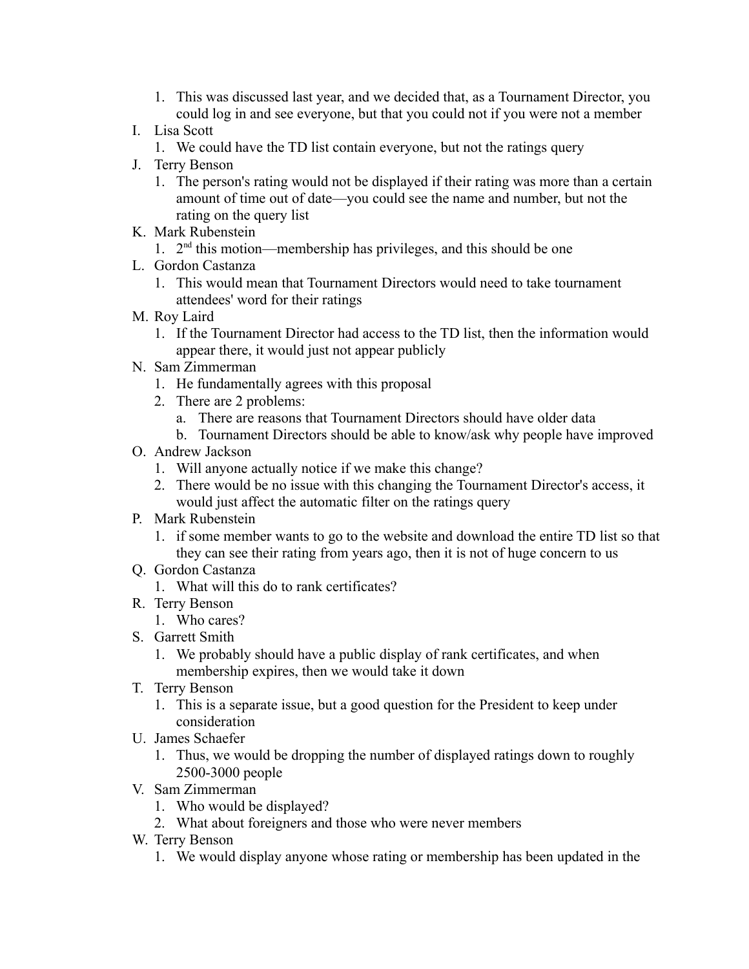- 1. This was discussed last year, and we decided that, as a Tournament Director, you could log in and see everyone, but that you could not if you were not a member
- I. Lisa Scott
	- 1. We could have the TD list contain everyone, but not the ratings query
- J. Terry Benson
	- 1. The person's rating would not be displayed if their rating was more than a certain amount of time out of date—you could see the name and number, but not the rating on the query list
- K. Mark Rubenstein
	- 1. 2<sup>nd</sup> this motion—membership has privileges, and this should be one
- L. Gordon Castanza
	- 1. This would mean that Tournament Directors would need to take tournament attendees' word for their ratings
- M. Roy Laird
	- 1. If the Tournament Director had access to the TD list, then the information would appear there, it would just not appear publicly
- N. Sam Zimmerman
	- 1. He fundamentally agrees with this proposal
	- 2. There are 2 problems:
		- a. There are reasons that Tournament Directors should have older data
		- b. Tournament Directors should be able to know/ask why people have improved
- O. Andrew Jackson
	- 1. Will anyone actually notice if we make this change?
	- 2. There would be no issue with this changing the Tournament Director's access, it would just affect the automatic filter on the ratings query
- P. Mark Rubenstein
	- 1. if some member wants to go to the website and download the entire TD list so that they can see their rating from years ago, then it is not of huge concern to us
- Q. Gordon Castanza
	- 1. What will this do to rank certificates?
- R. Terry Benson
	- 1. Who cares?
- S. Garrett Smith
	- 1. We probably should have a public display of rank certificates, and when membership expires, then we would take it down
- T. Terry Benson
	- 1. This is a separate issue, but a good question for the President to keep under consideration
- U. James Schaefer
	- 1. Thus, we would be dropping the number of displayed ratings down to roughly 2500-3000 people
- V. Sam Zimmerman
	- 1. Who would be displayed?
	- 2. What about foreigners and those who were never members
- W. Terry Benson
	- 1. We would display anyone whose rating or membership has been updated in the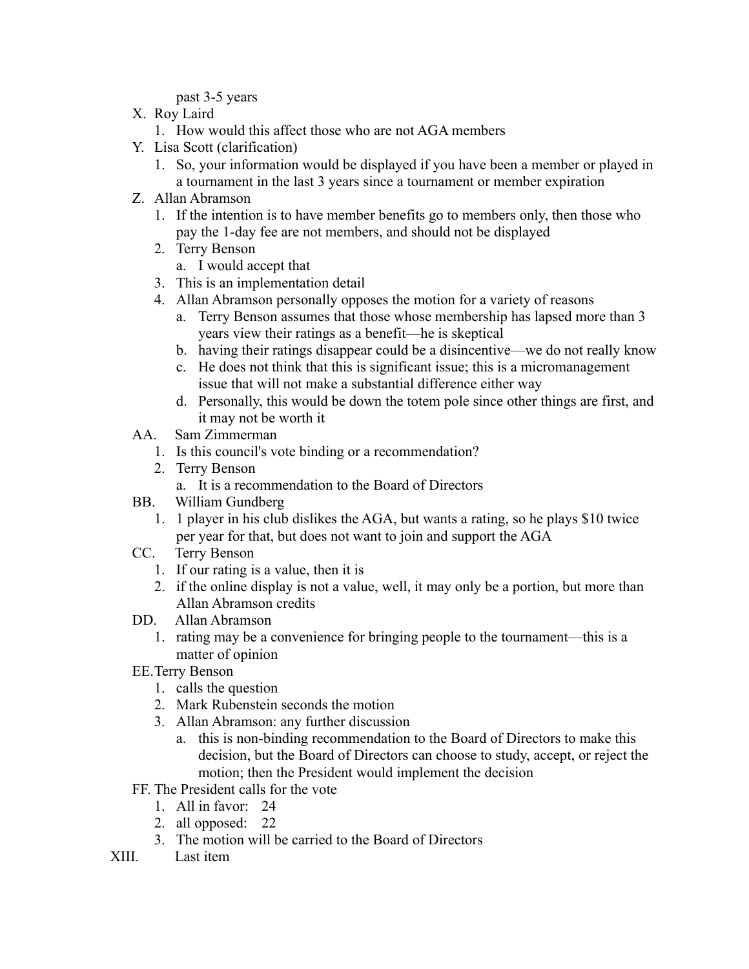past 3-5 years

- X. Roy Laird
	- 1. How would this affect those who are not AGA members
- Y. Lisa Scott (clarification)
	- 1. So, your information would be displayed if you have been a member or played in a tournament in the last 3 years since a tournament or member expiration
- Z. Allan Abramson
	- 1. If the intention is to have member benefits go to members only, then those who pay the 1-day fee are not members, and should not be displayed
	- 2. Terry Benson
		- a. I would accept that
	- 3. This is an implementation detail
	- 4. Allan Abramson personally opposes the motion for a variety of reasons
		- a. Terry Benson assumes that those whose membership has lapsed more than 3 years view their ratings as a benefit—he is skeptical
		- b. having their ratings disappear could be a disincentive—we do not really know
		- c. He does not think that this is significant issue; this is a micromanagement issue that will not make a substantial difference either way
		- d. Personally, this would be down the totem pole since other things are first, and it may not be worth it
- AA. Sam Zimmerman
	- 1. Is this council's vote binding or a recommendation?
	- 2. Terry Benson
		- a. It is a recommendation to the Board of Directors
- BB. William Gundberg
	- 1. 1 player in his club dislikes the AGA, but wants a rating, so he plays \$10 twice per year for that, but does not want to join and support the AGA
- CC. Terry Benson
	- 1. If our rating is a value, then it is
	- 2. if the online display is not a value, well, it may only be a portion, but more than Allan Abramson credits
- DD. Allan Abramson
	- 1. rating may be a convenience for bringing people to the tournament—this is a matter of opinion
- EE.Terry Benson
	- 1. calls the question
	- 2. Mark Rubenstein seconds the motion
	- 3. Allan Abramson: any further discussion
		- a. this is non-binding recommendation to the Board of Directors to make this decision, but the Board of Directors can choose to study, accept, or reject the motion; then the President would implement the decision
- FF. The President calls for the vote
	- 1. All in favor: 24
	- 2. all opposed: 22
	- 3. The motion will be carried to the Board of Directors
- XIII. Last item